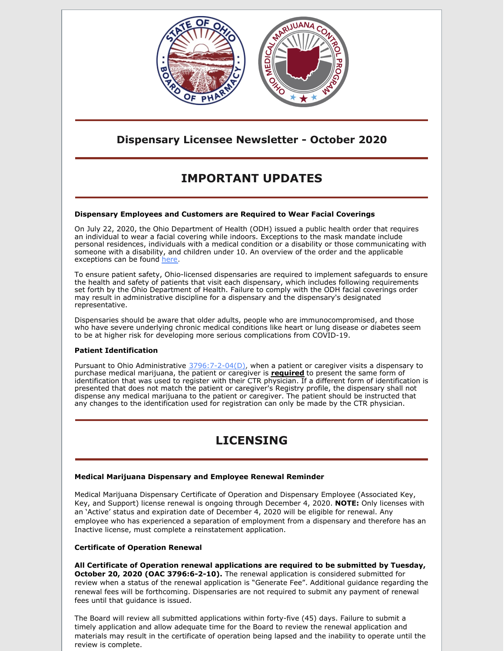

### **Dispensary Licensee Newsletter - October 2020**

# **IMPORTANT UPDATES**

#### **Dispensary Employees and Customers are Required to Wear Facial Coverings**

On July 22, 2020, the Ohio Department of Health (ODH) issued a public health order that requires an individual to wear a facial covering while indoors. Exceptions to the mask mandate include personal residences, individuals with a medical condition or a disability or those communicating with someone with a disability, and children under 10. An overview of the order and the applicable exceptions can be found [here](https://governor.ohio.gov/wps/portal/gov/governor/media/news-and-media/covid19-update-07222020).

To ensure patient safety, Ohio-licensed dispensaries are required to implement safeguards to ensure the health and safety of patients that visit each dispensary, which includes following requirements set forth by the Ohio Department of Health. Failure to comply with the ODH facial coverings order may result in administrative discipline for a dispensary and the dispensary's designated representative.

Dispensaries should be aware that older adults, people who are immunocompromised, and those who have severe underlying chronic medical conditions like heart or lung disease or diabetes seem to be at higher risk for developing more serious complications from COVID-19.

#### **Patient Identification**

Pursuant to Ohio Administrative [3796:7-2-04\(D\)](http://codes.ohio.gov/oac/3796:7-2-04v1), when a patient or caregiver visits a dispensary to purchase medical marijuana, the patient or caregiver is **required** to present the same form of identification that was used to register with their CTR physician. If a different form of identification is presented that does not match the patient or caregiver's Registry profile, the dispensary shall not dispense any medical marijuana to the patient or caregiver. The patient should be instructed that any changes to the identification used for registration can only be made by the CTR physician.

## **LICENSING**

#### **Medical Marijuana Dispensary and Employee Renewal Reminder**

Medical Marijuana Dispensary Certificate of Operation and Dispensary Employee (Associated Key, Key, and Support) license renewal is ongoing through December 4, 2020. **NOTE:** Only licenses with an 'Active' status and expiration date of December 4, 2020 will be eligible for renewal. Any employee who has experienced a separation of employment from a dispensary and therefore has an Inactive license, must complete a reinstatement application.

#### **Certificate of Operation Renewal**

**All Certificate of Operation renewal applications are required to be submitted by Tuesday, October 20, 2020 (OAC 3796:6-2-10).** The renewal application is considered submitted for review when a status of the renewal application is "Generate Fee". Additional guidance regarding the renewal fees will be forthcoming. Dispensaries are not required to submit any payment of renewal fees until that guidance is issued.

The Board will review all submitted applications within forty-five (45) days. Failure to submit a timely application and allow adequate time for the Board to review the renewal application and materials may result in the certificate of operation being lapsed and the inability to operate until the review is complete.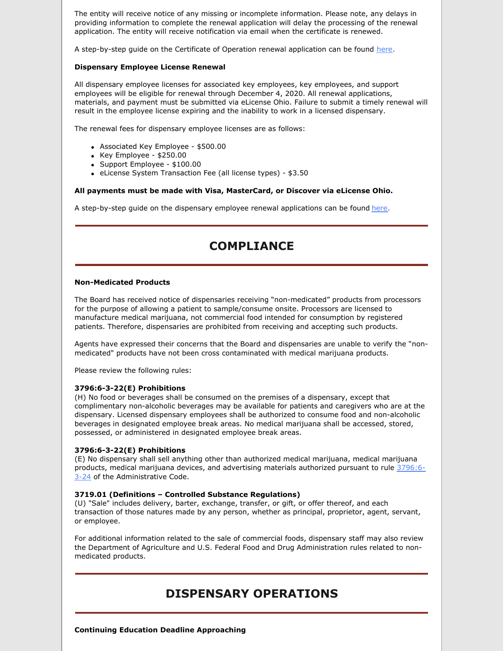The entity will receive notice of any missing or incomplete information. Please note, any delays in providing information to complete the renewal application will delay the processing of the renewal application. The entity will receive notification via email when the certificate is renewed.

A step-by-step guide on the Certificate of Operation renewal application can be found [here](https://gcc01.safelinks.protection.outlook.com/?url=https%3A%2F%2Fmedicalmarijuana.ohio.gov%2FDocuments%2FLicenseeResources%2FDispensary%2520Licensee%2520Resources%2FDispensary%2520%26%2520Employee%2520License%2520Renewal%2FeLicense%2520Guide%2520-%2520Dispensary%2520-%2520Certificate%2520of%2520Operation%2520Renewal%2520Application.pdf&data=04%7C01%7Cgrant.miller%40pharmacy.ohio.gov%7C1982a067370c48ef4e8508d871e1315e%7C50f8fcc494d84f0784eb36ed57c7c8a2%7C0%7C1%7C637384559298449826%7CUnknown%7CTWFpbGZsb3d8eyJWIjoiMC4wLjAwMDAiLCJQIjoiV2luMzIiLCJBTiI6Ik1haWwiLCJXVCI6Mn0%3D%7C1000&sdata=NXddtAqOaBQ3ELIDNVhPfiYQP8w16uwgxMqhc2qg9cc%3D&reserved=0).

#### **Dispensary Employee License Renewal**

All dispensary employee licenses for associated key employees, key employees, and support employees will be eligible for renewal through December 4, 2020. All renewal applications, materials, and payment must be submitted via eLicense Ohio. Failure to submit a timely renewal will result in the employee license expiring and the inability to work in a licensed dispensary.

The renewal fees for dispensary employee licenses are as follows:

- Associated Key Employee \$500.00
- $\bullet$  Key Employee \$250.00
- Support Employee \$100.00
- eLicense System Transaction Fee (all license types) \$3.50

#### **All payments must be made with Visa, MasterCard, or Discover via eLicense Ohio.**

A step-by-step guide on the dispensary employee renewal applications can be found [here](https://gcc01.safelinks.protection.outlook.com/?url=https%3A%2F%2Fmedicalmarijuana.ohio.gov%2FDocuments%2FLicenseeResources%2FDispensary%2520Licensee%2520Resources%2FDispensary%2520%26%2520Employee%2520License%2520Renewal%2FeLicense%2520Guide%2520-%2520Dispensary%2520Employee%2520Renewal%2520Application.pdf&data=04%7C01%7Cgrant.miller%40pharmacy.ohio.gov%7C1982a067370c48ef4e8508d871e1315e%7C50f8fcc494d84f0784eb36ed57c7c8a2%7C0%7C1%7C637384559298459782%7CUnknown%7CTWFpbGZsb3d8eyJWIjoiMC4wLjAwMDAiLCJQIjoiV2luMzIiLCJBTiI6Ik1haWwiLCJXVCI6Mn0%3D%7C1000&sdata=IiPOKA28qEzdj4GdPiLNlyXyQmzWS6g%2B9ZvRREuejw0%3D&reserved=0).

### **COMPLIANCE**

#### **Non-Medicated Products**

The Board has received notice of dispensaries receiving "non-medicated" products from processors for the purpose of allowing a patient to sample/consume onsite. Processors are licensed to manufacture medical marijuana, not commercial food intended for consumption by registered patients. Therefore, dispensaries are prohibited from receiving and accepting such products.

Agents have expressed their concerns that the Board and dispensaries are unable to verify the "nonmedicated" products have not been cross contaminated with medical marijuana products.

Please review the following rules:

#### **3796:6-3-22(E) Prohibitions**

(H) No food or beverages shall be consumed on the premises of a dispensary, except that complimentary non-alcoholic beverages may be available for patients and caregivers who are at the dispensary. Licensed dispensary employees shall be authorized to consume food and non-alcoholic beverages in designated employee break areas. No medical marijuana shall be accessed, stored, possessed, or administered in designated employee break areas.

#### **3796:6-3-22(E) Prohibitions**

(E) No dispensary shall sell anything other than authorized medical marijuana, medical marijuana products, medical marijuana devices, and advertising materials authorized pursuant to rule 3796:6- 3-24 of the [Administrative](http://codes.ohio.gov/oac/3796:6-3-24) Code.

#### **3719.01 (Definitions – Controlled Substance Regulations)**

(U) "Sale" includes delivery, barter, exchange, transfer, or gift, or offer thereof, and each transaction of those natures made by any person, whether as principal, proprietor, agent, servant, or employee.

For additional information related to the sale of commercial foods, dispensary staff may also review the Department of Agriculture and U.S. Federal Food and Drug Administration rules related to nonmedicated products.

### **DISPENSARY OPERATIONS**

**Continuing Education Deadline Approaching**